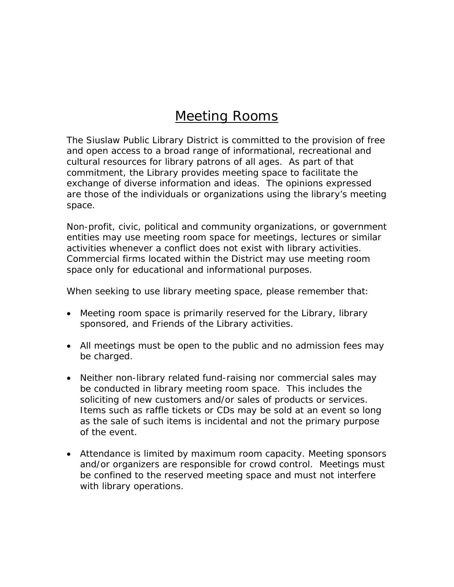## Meeting Rooms

The Siuslaw Public Library District is committed to the provision of free and open access to a broad range of informational, recreational and cultural resources for library patrons of all ages. As part of that commitment, the Library provides meeting space to facilitate the exchange of diverse information and ideas. The opinions expressed are those of the individuals or organizations using the library's meeting space.

Non-profit, civic, political and community organizations, or government entities may use meeting room space for meetings, lectures or similar activities whenever a conflict does not exist with library activities. Commercial firms located within the District may use meeting room space only for educational and informational purposes.

When seeking to use library meeting space, please remember that:

- Meeting room space is primarily reserved for the Library, library sponsored, and Friends of the Library activities.
- All meetings must be open to the public and no admission fees may be charged.
- Neither non-library related fund-raising nor commercial sales may be conducted in library meeting room space. This includes the soliciting of new customers and/or sales of products or services. Items such as raffle tickets or CDs may be sold at an event so long as the sale of such items is incidental and not the primary purpose of the event.
- Attendance is limited by maximum room capacity. Meeting sponsors and/or organizers are responsible for crowd control. Meetings must be confined to the reserved meeting space and must not interfere with library operations.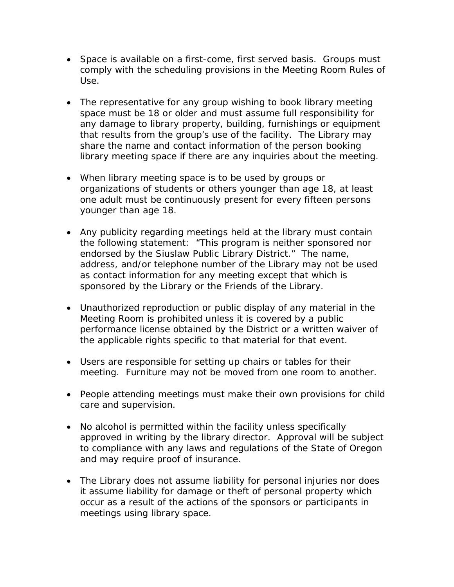- Space is available on a first-come, first served basis. Groups must comply with the scheduling provisions in the Meeting Room Rules of Use.
- The representative for any group wishing to book library meeting space must be 18 or older and must assume full responsibility for any damage to library property, building, furnishings or equipment that results from the group's use of the facility. The Library may share the name and contact information of the person booking library meeting space if there are any inquiries about the meeting.
- When library meeting space is to be used by groups or organizations of students or others younger than age 18, at least one adult must be continuously present for every fifteen persons younger than age 18.
- Any publicity regarding meetings held at the library must contain the following statement: "This program is neither sponsored nor endorsed by the Siuslaw Public Library District." The name, address, and/or telephone number of the Library may not be used as contact information for any meeting except that which is sponsored by the Library or the Friends of the Library.
- Unauthorized reproduction or public display of any material in the Meeting Room is prohibited unless it is covered by a public performance license obtained by the District or a written waiver of the applicable rights specific to that material for that event.
- Users are responsible for setting up chairs or tables for their meeting. Furniture may not be moved from one room to another.
- People attending meetings must make their own provisions for child care and supervision.
- No alcohol is permitted within the facility unless specifically approved in writing by the library director. Approval will be subject to compliance with any laws and regulations of the State of Oregon and may require proof of insurance.
- The Library does not assume liability for personal injuries nor does it assume liability for damage or theft of personal property which occur as a result of the actions of the sponsors or participants in meetings using library space.